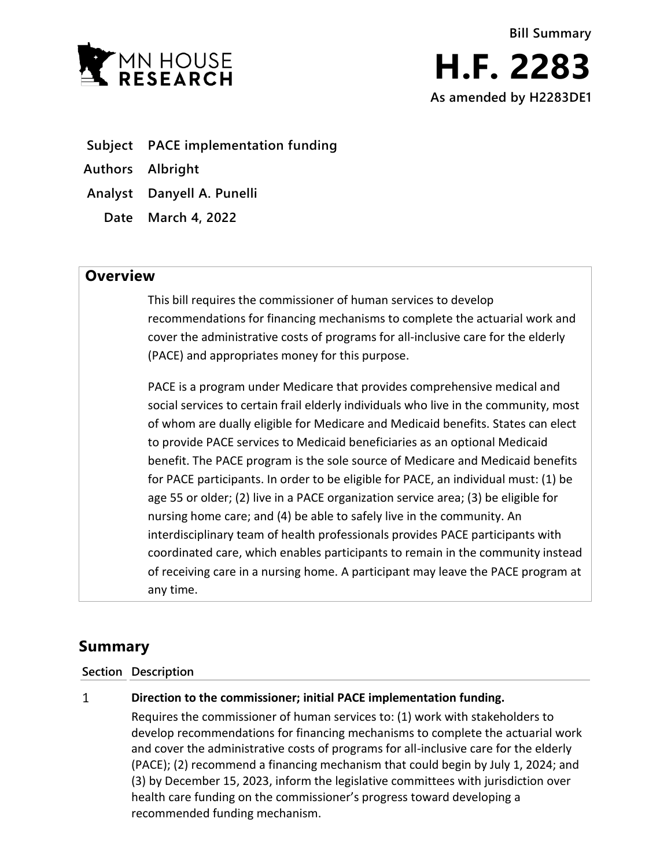

- **Subject PACE implementation funding**
- **Authors Albright**
- **Analyst Danyell A. Punelli**
	- **Date March 4, 2022**

## **Overview**

This bill requires the commissioner of human services to develop recommendations for financing mechanisms to complete the actuarial work and cover the administrative costs of programs for all-inclusive care for the elderly (PACE) and appropriates money for this purpose.

PACE is a program under Medicare that provides comprehensive medical and social services to certain frail elderly individuals who live in the community, most of whom are dually eligible for Medicare and Medicaid benefits. States can elect to provide PACE services to Medicaid beneficiaries as an optional Medicaid benefit. The PACE program is the sole source of Medicare and Medicaid benefits for PACE participants. In order to be eligible for PACE, an individual must: (1) be age 55 or older; (2) live in a PACE organization service area; (3) be eligible for nursing home care; and (4) be able to safely live in the community. An interdisciplinary team of health professionals provides PACE participants with coordinated care, which enables participants to remain in the community instead of receiving care in a nursing home. A participant may leave the PACE program at any time.

# **Summary**

### **Section Description**

#### $\mathbf{1}$ **Direction to the commissioner; initial PACE implementation funding.**

Requires the commissioner of human services to: (1) work with stakeholders to develop recommendations for financing mechanisms to complete the actuarial work and cover the administrative costs of programs for all-inclusive care for the elderly (PACE); (2) recommend a financing mechanism that could begin by July 1, 2024; and (3) by December 15, 2023, inform the legislative committees with jurisdiction over health care funding on the commissioner's progress toward developing a recommended funding mechanism.